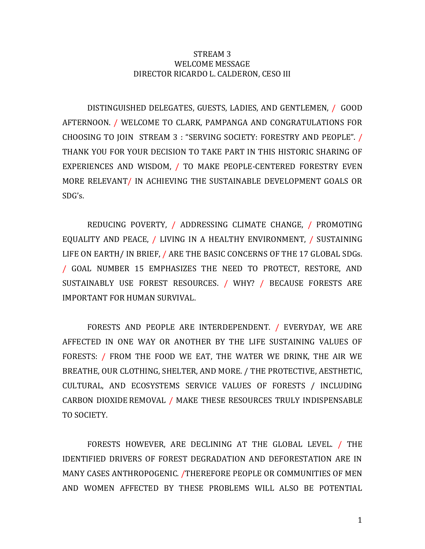## STREAM 3 WELCOME MESSAGE DIRECTOR RICARDO L. CALDERON, CESO III

DISTINGUISHED DELEGATES, GUESTS, LADIES, AND GENTLEMEN, / GOOD AFTERNOON. / WELCOME TO CLARK, PAMPANGA AND CONGRATULATIONS FOR CHOOSING TO JOIN STREAM 3 : "SERVING SOCIETY: FORESTRY AND PEOPLE". / THANK YOU FOR YOUR DECISION TO TAKE PART IN THIS HISTORIC SHARING OF EXPERIENCES AND WISDOM, / TO MAKE PEOPLE-CENTERED FORESTRY EVEN MORE RELEVANT/ IN ACHIEVING THE SUSTAINABLE DEVELOPMENT GOALS OR SDG's.

REDUCING POVERTY, / ADDRESSING CLIMATE CHANGE, / PROMOTING EQUALITY AND PEACE, / LIVING IN A HEALTHY ENVIRONMENT, / SUSTAINING LIFE ON EARTH/ IN BRIEF, / ARE THE BASIC CONCERNS OF THE 17 GLOBAL SDGs. / GOAL NUMBER 15 EMPHASIZES THE NEED TO PROTECT, RESTORE, AND SUSTAINABLY USE FOREST RESOURCES. / WHY? / BECAUSE FORESTS ARE IMPORTANT FOR HUMAN SURVIVAL.

FORESTS AND PEOPLE ARE INTERDEPENDENT. / EVERYDAY, WE ARE AFFECTED IN ONE WAY OR ANOTHER BY THE LIFE SUSTAINING VALUES OF FORESTS: / FROM THE FOOD WE EAT, THE WATER WE DRINK, THE AIR WE BREATHE, OUR CLOTHING, SHELTER, AND MORE. / THE PROTECTIVE, AESTHETIC, CULTURAL, AND ECOSYSTEMS SERVICE VALUES OF FORESTS / INCLUDING CARBON DIOXIDEREMOVAL / MAKE THESE RESOURCES TRULY INDISPENSABLE TO SOCIETY.

FORESTS HOWEVER, ARE DECLINING AT THE GLOBAL LEVEL. / THE IDENTIFIED DRIVERS OF FOREST DEGRADATION AND DEFORESTATION ARE IN MANY CASES ANTHROPOGENIC. /THEREFORE PEOPLE OR COMMUNITIES OF MEN AND WOMEN AFFECTED BY THESE PROBLEMS WILL ALSO BE POTENTIAL

1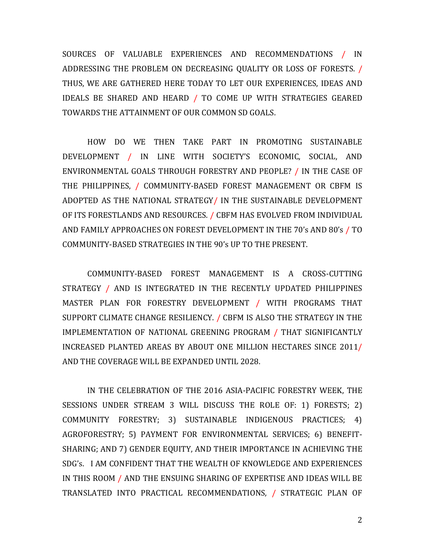SOURCES OF VALUABLE EXPERIENCES AND RECOMMENDATIONS / IN ADDRESSING THE PROBLEM ON DECREASING QUALITY OR LOSS OF FORESTS. / THUS, WE ARE GATHERED HERE TODAY TO LET OUR EXPERIENCES, IDEAS AND IDEALS BE SHARED AND HEARD / TO COME UP WITH STRATEGIES GEARED TOWARDS THE ATTAINMENT OF OUR COMMON SD GOALS.

HOW DO WE THEN TAKE PART IN PROMOTING SUSTAINABLE DEVELOPMENT / IN LINE WITH SOCIETY'S ECONOMIC, SOCIAL, AND ENVIRONMENTAL GOALS THROUGH FORESTRY AND PEOPLE? / IN THE CASE OF THE PHILIPPINES, / COMMUNITY-BASED FOREST MANAGEMENT OR CBFM IS ADOPTED AS THE NATIONAL STRATEGY/ IN THE SUSTAINABLE DEVELOPMENT OF ITS FORESTLANDS AND RESOURCES. / CBFM HAS EVOLVED FROM INDIVIDUAL AND FAMILY APPROACHES ON FOREST DEVELOPMENT IN THE 70's AND 80's / TO COMMUNITY-BASED STRATEGIES IN THE 90's UP TO THE PRESENT.

COMMUNITY-BASED FOREST MANAGEMENT IS A CROSS-CUTTING STRATEGY / AND IS INTEGRATED IN THE RECENTLY UPDATED PHILIPPINES MASTER PLAN FOR FORESTRY DEVELOPMENT / WITH PROGRAMS THAT SUPPORT CLIMATE CHANGE RESILIENCY. / CBFM IS ALSO THE STRATEGY IN THE IMPLEMENTATION OF NATIONAL GREENING PROGRAM / THAT SIGNIFICANTLY INCREASED PLANTED AREAS BY ABOUT ONE MILLION HECTARES SINCE 2011/ AND THE COVERAGE WILL BE EXPANDED UNTIL 2028.

IN THE CELEBRATION OF THE 2016 ASIA-PACIFIC FORESTRY WEEK, THE SESSIONS UNDER STREAM 3 WILL DISCUSS THE ROLE OF: 1) FORESTS; 2) COMMUNITY FORESTRY; 3) SUSTAINABLE INDIGENOUS PRACTICES; 4) AGROFORESTRY; 5) PAYMENT FOR ENVIRONMENTAL SERVICES; 6) BENEFIT-SHARING; AND 7) GENDER EQUITY, AND THEIR IMPORTANCE IN ACHIEVING THE SDG's. I AM CONFIDENT THAT THE WEALTH OF KNOWLEDGE AND EXPERIENCES IN THIS ROOM / AND THE ENSUING SHARING OF EXPERTISE AND IDEAS WILL BE TRANSLATED INTO PRACTICAL RECOMMENDATIONS, / STRATEGIC PLAN OF

2